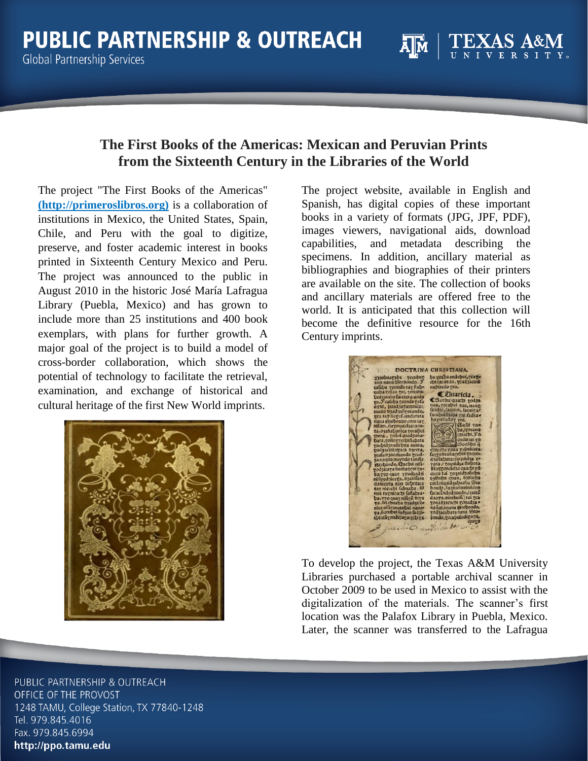## **The First Books of the Americas: Mexican and Peruvian Prints from the Sixteenth Century in the Libraries of the World**

The project "The First Books of the Americas" **(http://primeroslibros.org)** is a collaboration of institutions in Mexico, the United States, Spain, Chile, and Peru with the goal to digitize, preserve, and foster academic interest in books printed in Sixteenth Century Mexico and Peru. The project was announced to the public in August 2010 in the historic José María Lafragua Library (Puebla, Mexico) and has grown to include more than 25 institutions and 400 book exemplars, with plans for further growth. A major goal of the project is to build a model of cross-border collaboration, which shows the potential of technology to facilitate the retrieval, examination, and exchange of historical and cultural heritage of the first New World imprints.



The project website, available in English and Spanish, has digital copies of these important books in a variety of formats (JPG, JPF, PDF), images viewers, navigational aids, download capabilities, and metadata describing the specimens. In addition, ancillary material as bibliographies and biographies of their printers are available on the site. The collection of books and ancillary materials are offered free to the world. It is anticipated that this collection will become the definitive resource for the 16th Century imprints.



To develop the project, the Texas A&M University Libraries purchased a portable archival scanner in October 2009 to be used in Mexico to assist with the digitalization of the materials. The scanner's first location was the Palafox Library in Puebla, Mexico. Later, the scanner was transferred to the Lafragua

PUBLIC PARTNERSHIP & OUTREACH OFFICE OF THE PROVOST 1248 TAMU, College Station, TX 77840-1248 Tel. 979.845.4016 Fax. 979.845.6994 http://ppo.tamu.edu